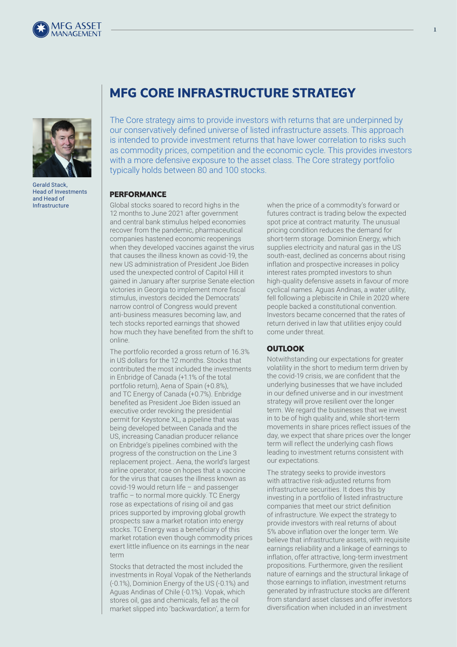



Gerald Stack, Head of Investments and Head of Infrastructure

# **MFG CORE INFRASTRUCTURE STRATEGY**

The Core strategy aims to provide investors with returns that are underpinned by our conservatively defined universe of listed infrastructure assets. This approach is intended to provide investment returns that have lower correlation to risks such as commodity prices, competition and the economic cycle. This provides investors with a more defensive exposure to the asset class. The Core strategy portfolio typically holds between 80 and 100 stocks.

### **PERFORMANCE**

Global stocks soared to record highs in the 12 months to June 2021 after government and central bank stimulus helped economies recover from the pandemic, pharmaceutical companies hastened economic reopenings when they developed vaccines against the virus that causes the illness known as covid-19, the new US administration of President Joe Biden used the unexpected control of Capitol Hill it gained in January after surprise Senate election victories in Georgia to implement more fiscal stimulus, investors decided the Democrats' narrow control of Congress would prevent anti-business measures becoming law, and tech stocks reported earnings that showed how much they have benefited from the shift to online.

The portfolio recorded a gross return of 16.3% in US dollars for the 12 months. Stocks that contributed the most included the investments in Enbridge of Canada (+1.1% of the total portfolio return), Aena of Spain (+0.8%), and TC Energy of Canada (+0.7%). Enbridge benefited as President Joe Biden issued an executive order revoking the presidential permit for Keystone XL, a pipeline that was being developed between Canada and the US, increasing Canadian producer reliance on Enbridge's pipelines combined with the progress of the construction on the Line 3 replacement project.. Aena, the world's largest airline operator, rose on hopes that a vaccine for the virus that causes the illness known as covid-19 would return life – and passenger traffic – to normal more quickly. TC Energy rose as expectations of rising oil and gas prices supported by improving global growth prospects saw a market rotation into energy stocks. TC Energy was a beneficiary of this market rotation even though commodity prices exert little influence on its earnings in the near term

Stocks that detracted the most included the investments in Royal Vopak of the Netherlands (-0.1%), Dominion Energy of the US (-0.1%) and Aguas Andinas of Chile (-0.1%). Vopak, which stores oil, gas and chemicals, fell as the oil market slipped into 'backwardation', a term for

when the price of a commodity's forward or futures contract is trading below the expected spot price at contract maturity. The unusual pricing condition reduces the demand for short-term storage. Dominion Energy, which supplies electricity and natural gas in the US south-east, declined as concerns about rising inflation and prospective increases in policy interest rates prompted investors to shun high-quality defensive assets in favour of more cyclical names. Aguas Andinas, a water utility, fell following a plebiscite in Chile in 2020 where people backed a constitutional convention. Investors became concerned that the rates of return derived in law that utilities enjoy could come under threat.

# **OUTLOOK**

Notwithstanding our expectations for greater volatility in the short to medium term driven by the covid-19 crisis, we are confident that the underlying businesses that we have included in our defined universe and in our investment strategy will prove resilient over the longer term. We regard the businesses that we invest in to be of high quality and, while short-term movements in share prices reflect issues of the day, we expect that share prices over the longer term will reflect the underlying cash flows leading to investment returns consistent with our expectations.

The strategy seeks to provide investors with attractive risk-adjusted returns from infrastructure securities. It does this by investing in a portfolio of listed infrastructure companies that meet our strict definition of infrastructure. We expect the strategy to provide investors with real returns of about 5% above inflation over the longer term. We believe that infrastructure assets, with requisite earnings reliability and a linkage of earnings to inflation, offer attractive, long-term investment propositions. Furthermore, given the resilient nature of earnings and the structural linkage of those earnings to inflation, investment returns generated by infrastructure stocks are different from standard asset classes and offer investors diversification when included in an investment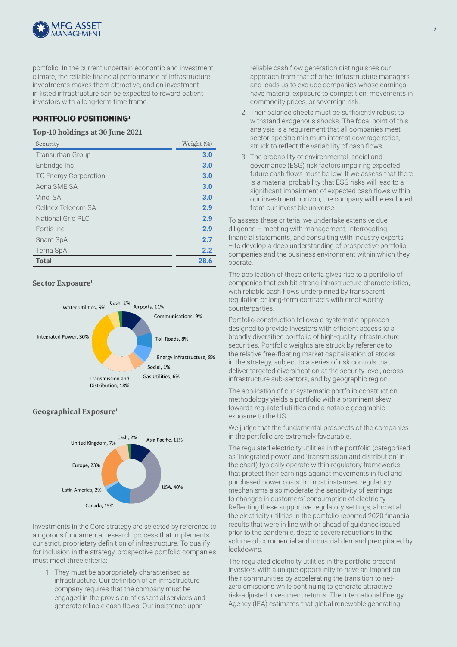

portfolio. In the current uncertain economic and investment climate, the reliable financial performance of infrastructure investments makes them attractive, and an investment in listed infrastructure can be expected to reward patient investors with a long-term time frame.

# **PORTFOLIO POSITIONING<sup>1</sup>**

#### **Top-10 holdings at 30 June 2021**

| Security                     | Weight (%) |
|------------------------------|------------|
| <b>Transurban Group</b>      | 3.0        |
| Enbridge Inc                 | 3.0        |
| <b>TC Energy Corporation</b> | 3.0        |
| Aena SME SA                  | 3.0        |
| Vinci SA                     | 3.0        |
| Cellnex Telecom SA           | 2.9        |
| National Grid PLC            | 2.9        |
| Fortis Inc.                  | 2.9        |
| Snam SpA                     | 2.7        |
| Terna SpA                    | 2.2        |
| <b>Total</b>                 | 28.6       |

# **Sector Exposure1**



# **Geographical Exposure1**



Investments in the Core strategy are selected by reference to a rigorous fundamental research process that implements our strict, proprietary definition of infrastructure. To qualify for inclusion in the strategy, prospective portfolio companies must meet three criteria:

1. They must be appropriately characterised as infrastructure. Our definition of an infrastructure company requires that the company must be engaged in the provision of essential services and generate reliable cash flows. Our insistence upon

reliable cash flow generation distinguishes our approach from that of other infrastructure managers and leads us to exclude companies whose earnings have material exposure to competition, movements in commodity prices, or sovereign risk.

- 2. Their balance sheets must be sufficiently robust to withstand exogenous shocks. The focal point of this analysis is a requirement that all companies meet sector-specific minimum interest coverage ratios, struck to reflect the variability of cash flows.
- 3. The probability of environmental, social and governance (ESG) risk factors impairing expected future cash flows must be low. If we assess that there is a material probability that ESG risks will lead to a significant impairment of expected cash flows within our investment horizon, the company will be excluded from our investible universe.

To assess these criteria, we undertake extensive due diligence – meeting with management, interrogating financial statements, and consulting with industry experts – to develop a deep understanding of prospective portfolio companies and the business environment within which they operate.

The application of these criteria gives rise to a portfolio of companies that exhibit strong infrastructure characteristics, with reliable cash flows underpinned by transparent regulation or long-term contracts with creditworthy counterparties.

Portfolio construction follows a systematic approach designed to provide investors with efficient access to a broadly diversified portfolio of high-quality infrastructure securities. Portfolio weights are struck by reference to the relative free-floating market capitalisation of stocks in the strategy, subject to a series of risk controls that deliver targeted diversification at the security level, across infrastructure sub-sectors, and by geographic region.

The application of our systematic portfolio construction methodology yields a portfolio with a prominent skew towards regulated utilities and a notable geographic exposure to the US.

We judge that the fundamental prospects of the companies in the portfolio are extremely favourable.

The regulated electricity utilities in the portfolio (categorised as 'integrated power' and 'transmission and distribution' in the chart) typically operate within regulatory frameworks that protect their earnings against movements in fuel and purchased power costs. In most instances, regulatory mechanisms also moderate the sensitivity of earnings to changes in customers' consumption of electricity. Reflecting these supportive regulatory settings, almost all the electricity utilities in the portfolio reported 2020 financial results that were in line with or ahead of guidance issued prior to the pandemic, despite severe reductions in the volume of commercial and industrial demand precipitated by lockdowns.

The regulated electricity utilities in the portfolio present investors with a unique opportunity to have an impact on their communities by accelerating the transition to netzero emissions while continuing to generate attractive risk-adjusted investment returns. The International Energy Agency (IEA) estimates that global renewable generating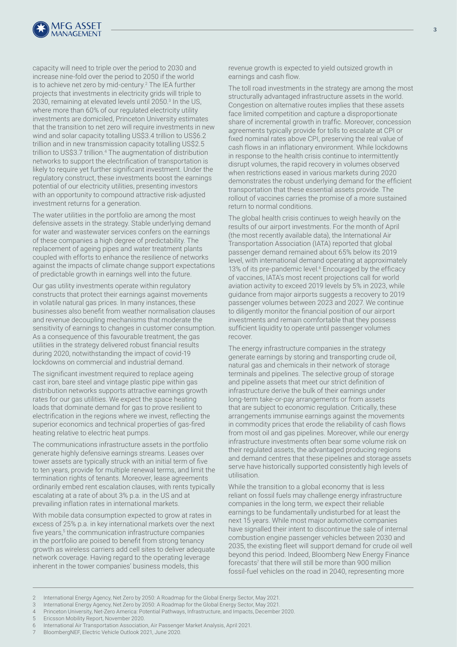

capacity will need to triple over the period to 2030 and increase nine-fold over the period to 2050 if the world is to achieve net zero by mid-century.<sup>2</sup> The IEA further projects that investments in electricity grids will triple to 2030, remaining at elevated levels until 2050.<sup>3</sup> In the US, where more than 60% of our regulated electricity utility investments are domiciled, Princeton University estimates that the transition to net zero will require investments in new wind and solar capacity totalling US\$3.4 trillion to US\$6.2 trillion and in new transmission capacity totalling US\$2.5 trillion to US\$3.7 trillion.4 The augmentation of distribution networks to support the electrification of transportation is likely to require yet further significant investment. Under the regulatory construct, these investments boost the earnings potential of our electricity utilities, presenting investors with an opportunity to compound attractive risk-adjusted investment returns for a generation.

The water utilities in the portfolio are among the most defensive assets in the strategy. Stable underlying demand for water and wastewater services confers on the earnings of these companies a high degree of predictability. The replacement of ageing pipes and water treatment plants coupled with efforts to enhance the resilience of networks against the impacts of climate change support expectations of predictable growth in earnings well into the future.

Our gas utility investments operate within regulatory constructs that protect their earnings against movements in volatile natural gas prices. In many instances, these businesses also benefit from weather normalisation clauses and revenue decoupling mechanisms that moderate the sensitivity of earnings to changes in customer consumption. As a consequence of this favourable treatment, the gas utilities in the strategy delivered robust financial results during 2020, notwithstanding the impact of covid-19 lockdowns on commercial and industrial demand.

The significant investment required to replace ageing cast iron, bare steel and vintage plastic pipe within gas distribution networks supports attractive earnings growth rates for our gas utilities. We expect the space heating loads that dominate demand for gas to prove resilient to electrification in the regions where we invest, reflecting the superior economics and technical properties of gas-fired heating relative to electric heat pumps.

The communications infrastructure assets in the portfolio generate highly defensive earnings streams. Leases over tower assets are typically struck with an initial term of five to ten years, provide for multiple renewal terms, and limit the termination rights of tenants. Moreover, lease agreements ordinarily embed rent escalation clauses, with rents typically escalating at a rate of about 3% p.a. in the US and at prevailing inflation rates in international markets.

With mobile data consumption expected to grow at rates in excess of 25% p.a. in key international markets over the next five years,<sup>5</sup> the communication infrastructure companies in the portfolio are poised to benefit from strong tenancy growth as wireless carriers add cell sites to deliver adequate network coverage. Having regard to the operating leverage inherent in the tower companies' business models, this

revenue growth is expected to yield outsized growth in earnings and cash flow.

The toll road investments in the strategy are among the most structurally advantaged infrastructure assets in the world. Congestion on alternative routes implies that these assets face limited competition and capture a disproportionate share of incremental growth in traffic. Moreover, concession agreements typically provide for tolls to escalate at CPI or fixed nominal rates above CPI, preserving the real value of cash flows in an inflationary environment. While lockdowns in response to the health crisis continue to intermittently disrupt volumes, the rapid recovery in volumes observed when restrictions eased in various markets during 2020 demonstrates the robust underlying demand for the efficient transportation that these essential assets provide. The rollout of vaccines carries the promise of a more sustained return to normal conditions.

The global health crisis continues to weigh heavily on the results of our airport investments. For the month of April (the most recently available data), the International Air Transportation Association (IATA) reported that global passenger demand remained about 65% below its 2019 level, with international demand operating at approximately 13% of its pre-pandemic level.<sup>6</sup> Encouraged by the efficacy of vaccines, IATA's most recent projections call for world aviation activity to exceed 2019 levels by 5% in 2023, while guidance from major airports suggests a recovery to 2019 passenger volumes between 2023 and 2027. We continue to diligently monitor the financial position of our airport investments and remain comfortable that they possess sufficient liquidity to operate until passenger volumes recover.

The energy infrastructure companies in the strategy generate earnings by storing and transporting crude oil, natural gas and chemicals in their network of storage terminals and pipelines. The selective group of storage and pipeline assets that meet our strict definition of infrastructure derive the bulk of their earnings under long-term take-or-pay arrangements or from assets that are subject to economic regulation. Critically, these arrangements immunise earnings against the movements in commodity prices that erode the reliability of cash flows from most oil and gas pipelines. Moreover, while our energy infrastructure investments often bear some volume risk on their regulated assets, the advantaged producing regions and demand centres that these pipelines and storage assets serve have historically supported consistently high levels of utilisation.

While the transition to a global economy that is less reliant on fossil fuels may challenge energy infrastructure companies in the long term, we expect their reliable earnings to be fundamentally undisturbed for at least the next 15 years. While most major automotive companies have signalled their intent to discontinue the sale of internal combustion engine passenger vehicles between 2030 and 2035, the existing fleet will support demand for crude oil well beyond this period. Indeed, Bloomberg New Energy Finance forecasts<sup>7</sup> that there will still be more than 900 million fossil-fuel vehicles on the road in 2040, representing more

- 3 International Energy Agency, Net Zero by 2050: A Roadmap for the Global Energy Sector, May 2021.
- 4 Princeton University, Net-Zero America: Potential Pathways, Infrastructure, and Impacts, December 2020.
- 5 Ericsson Mobility Report, November 2020.

7 BloombergNEF, Electric Vehicle Outlook 2021, June 2020.

<sup>2</sup> International Energy Agency, Net Zero by 2050: A Roadmap for the Global Energy Sector, May 2021.

<sup>6</sup> International Air Transportation Association, Air Passenger Market Analysis, April 2021.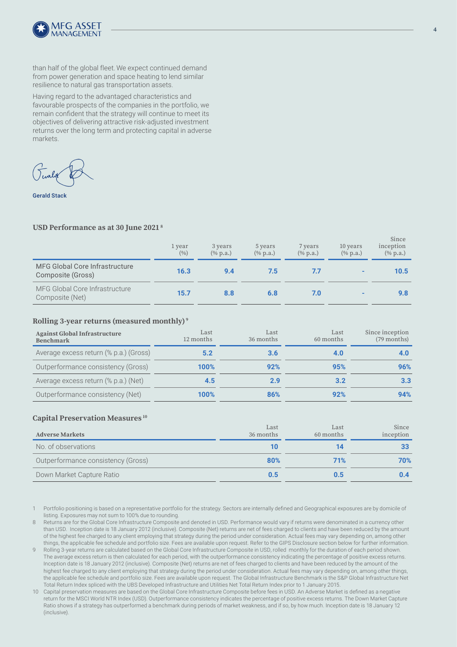

than half of the global fleet.We expect continued demand from power generation and space heating to lend similar resilience to natural gas transportation assets.

Having regard to the advantaged characteristics and favourable prospects of the companies in the portfolio, we remain confident that the strategy will continue to meet its objectives of delivering attractive risk-adjusted investment returns over the long term and protecting capital in adverse markets.

Gerald Stack

#### **USD Performance as at 30 June 2021 8**

|                                                            | 1 year<br>(9/6) | 3 years<br>$(\%$ p.a.) | 5 years<br>$(\%$ p.a.) | 7 years<br>$(\%$ p.a.) | 10 years<br>$(\%$ p.a.) | Since<br>inception<br>$(\%$ p.a.) |
|------------------------------------------------------------|-----------------|------------------------|------------------------|------------------------|-------------------------|-----------------------------------|
| <b>MFG Global Core Infrastructure</b><br>Composite (Gross) | 16.3            | 9.4                    | 7.5                    | 7.7                    |                         | 10.5                              |
| MFG Global Core Infrastructure<br>Composite (Net)          | 15.7            | 8.8                    | 6.8                    | 7.0                    |                         | 9.8                               |

#### **Rolling 3-year returns (measured monthly) 9**

| <b>Against Global Infrastructure</b><br><b>Benchmark</b> | Last<br>12 months | Last<br>36 months | Last<br>60 months | Since inception<br>$(79$ months) |
|----------------------------------------------------------|-------------------|-------------------|-------------------|----------------------------------|
| Average excess return (% p.a.) (Gross)                   | 5.2               | 3.6               | 4.0               |                                  |
| Outperformance consistency (Gross)                       | 100%              | 92%               | 95%               | 96%                              |
| Average excess return (% p.a.) (Net)                     | 4.5               | 2.9               | 3.2               | 3.3                              |
| Outperformance consistency (Net)                         | 100%              | 86%               | 92%               | 94%                              |

#### **Capital Preservation Measures 10**

| <b>Adverse Markets</b>             | Last<br>36 months | Last<br>60 months | Since<br>inception |
|------------------------------------|-------------------|-------------------|--------------------|
| No. of observations                |                   | 14                |                    |
| Outperformance consistency (Gross) | 80%               | 71%               | 70%                |
| Down Market Capture Ratio          | 0.5               | 0.5               | 0.4                |

Portfolio positioning is based on a representative portfolio for the strategy. Sectors are internally defined and Geographical exposures are by domicile of listing. Exposures may not sum to 100% due to rounding.

8 Returns are for the Global Core Infrastructure Composite and denoted in USD. Performance would vary if returns were denominated in a currency other than USD. Inception date is 18 January 2012 (inclusive). Composite (Net) returns are net of fees charged to clients and have been reduced by the amount of the highest fee charged to any client employing that strategy during the period under consideration. Actual fees may vary depending on, among other things, the applicable fee schedule and portfolio size. Fees are available upon request. Refer to the GIPS Disclosure section below for further information.

9 Rolling 3-year returns are calculated based on the Global Core Infrastructure Composite in USD, rolled monthly for the duration of each period shown. The average excess return is then calculated for each period, with the outperformance consistency indicating the percentage of positive excess returns. Inception date is 18 January 2012 (inclusive). Composite (Net) returns are net of fees charged to clients and have been reduced by the amount of the highest fee charged to any client employing that strategy during the period under consideration. Actual fees may vary depending on, among other things, the applicable fee schedule and portfolio size. Fees are available upon request. The Global Infrastructure Benchmark is the S&P Global Infrastructure Net Total Return Index spliced with the UBS Developed Infrastructure and Utilities Net Total Return Index prior to 1 January 2015.

10 Capital preservation measures are based on the Global Core Infrastructure Composite before fees in USD. An Adverse Market is defined as a negative return for the MSCI World NTR Index (USD). Outperformance consistency indicates the percentage of positive excess returns. The Down Market Capture Ratio shows if a strategy has outperformed a benchmark during periods of market weakness, and if so, by how much. Inception date is 18 January 12 (inclusive).